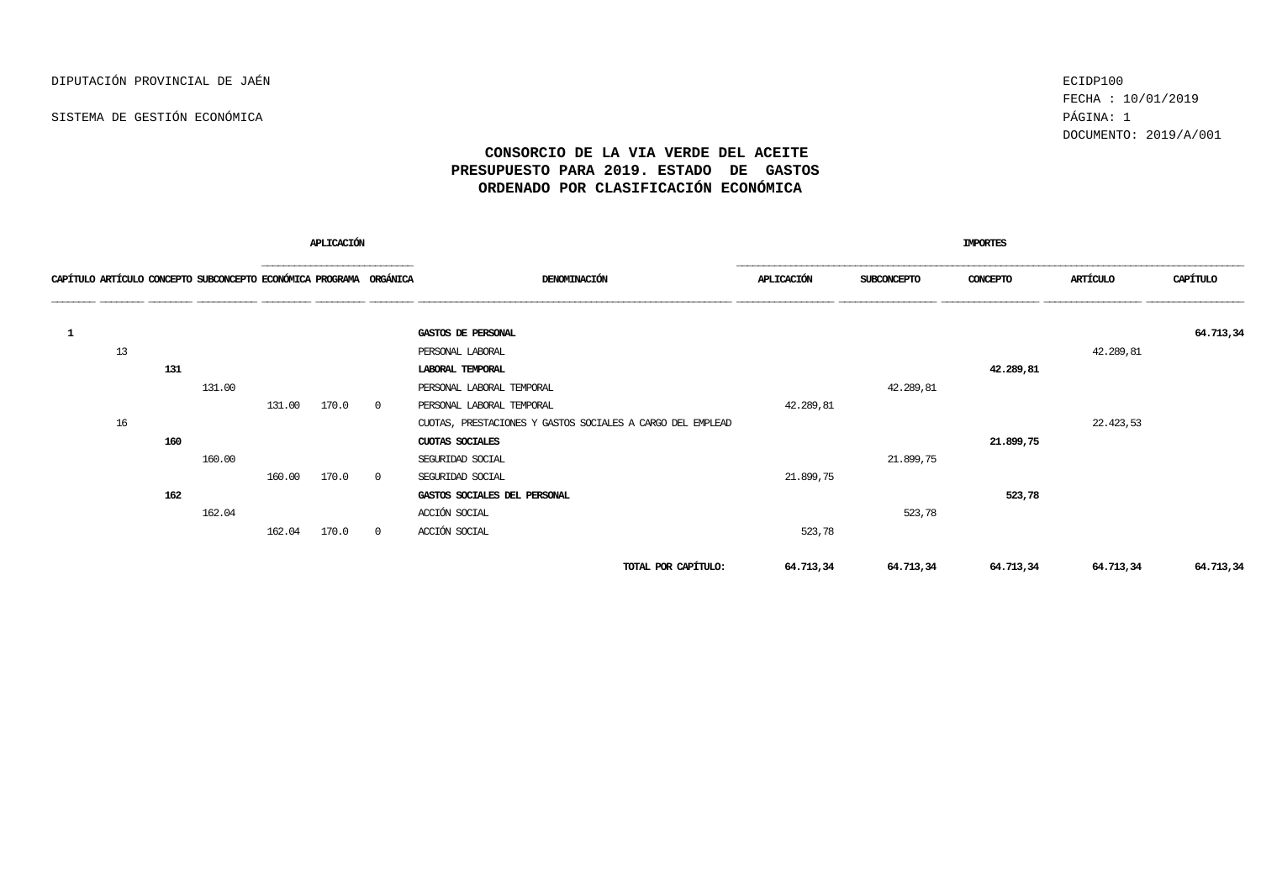FECHA : 10/01/2019 DOCUMENTO: 2019/A/001

| APLICACIÓN                                                         |    |     |        |        |       |                |                                                            |            |             |           |           |           |
|--------------------------------------------------------------------|----|-----|--------|--------|-------|----------------|------------------------------------------------------------|------------|-------------|-----------|-----------|-----------|
| CAPÍTULO ARTÍCULO CONCEPTO SUBCONCEPTO ECONÓMICA PROGRAMA ORGÁNICA |    |     |        |        |       |                | DENOMINACIÓN                                               | APLICACIÓN | SUBCONCEPTO | CONCEPTO  | ARTÍCULO  | CAPÍTULO  |
|                                                                    |    |     |        |        |       |                | GASTOS DE PERSONAL                                         |            |             |           |           | 64.713,34 |
|                                                                    | 13 |     |        |        |       |                | PERSONAL LABORAL                                           |            |             |           | 42.289,81 |           |
|                                                                    |    | 131 |        |        |       |                | LABORAL TEMPORAL                                           |            |             | 42.289,81 |           |           |
|                                                                    |    |     | 131.00 |        |       |                | PERSONAL LABORAL TEMPORAL                                  |            | 42.289,81   |           |           |           |
|                                                                    |    |     |        | 131.00 | 170.0 | $\overline{0}$ | PERSONAL LABORAL TEMPORAL                                  | 42.289,81  |             |           |           |           |
|                                                                    | 16 |     |        |        |       |                | CUOTAS, PRESTACIONES Y GASTOS SOCIALES A CARGO DEL EMPLEAD |            |             |           | 22.423,53 |           |
|                                                                    |    | 160 |        |        |       |                | CUOTAS SOCIALES                                            |            |             | 21.899,75 |           |           |
|                                                                    |    |     | 160.00 |        |       |                | SEGURIDAD SOCIAL                                           |            | 21.899,75   |           |           |           |
|                                                                    |    |     |        | 160.00 | 170.0 | $\circ$        | SEGURIDAD SOCIAL                                           | 21.899,75  |             |           |           |           |
|                                                                    |    | 162 |        |        |       |                | GASTOS SOCIALES DEL PERSONAL                               |            |             | 523,78    |           |           |
|                                                                    |    |     | 162.04 |        |       |                | ACCIÓN SOCIAL                                              |            | 523,78      |           |           |           |
|                                                                    |    |     |        | 162.04 | 170.0 | $\circ$        | ACCIÓN SOCIAL                                              | 523,78     |             |           |           |           |
|                                                                    |    |     |        |        |       |                | TOTAL POR CAPÍTULO:                                        | 64.713,34  | 64.713,34   | 64.713,34 | 64.713,34 | 64.713,34 |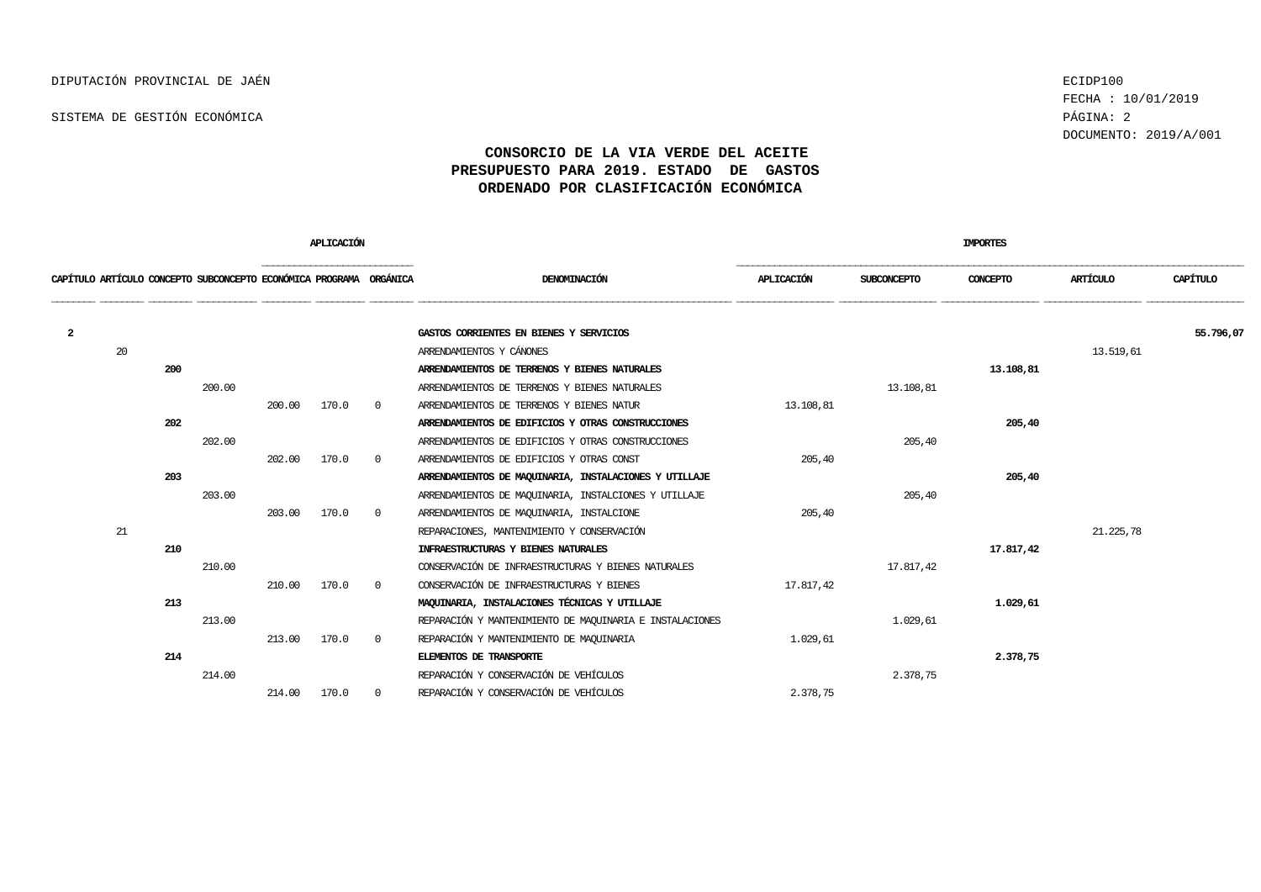FECHA : 10/01/2019 DOCUMENTO: 2019/A/001

|                                                                    |    |     |        |        | APLICACIÓN |          |                                                          | <b>IMPORTES</b> |                    |           |             |           |  |  |
|--------------------------------------------------------------------|----|-----|--------|--------|------------|----------|----------------------------------------------------------|-----------------|--------------------|-----------|-------------|-----------|--|--|
| CAPÍTULO ARTÍCULO CONCEPTO SUBCONCEPTO ECONÓMICA PROGRAMA ORGÁNICA |    |     |        |        |            |          | DENOMINACIÓN                                             | APLICACIÓN      | <b>SUBCONCEPTO</b> | CONCEPTO  | ARTÍCULO    | CAPÍTULO  |  |  |
| $\mathbf{2}$                                                       |    |     |        |        |            |          | GASTOS CORRIENTES EN BIENES Y SERVICIOS                  |                 |                    |           |             | 55.796,07 |  |  |
|                                                                    | 20 |     |        |        |            |          | ARRENDAMIENTOS Y CÁNONES                                 |                 |                    |           | 13.519,61   |           |  |  |
|                                                                    |    | 200 |        |        |            |          | ARRENDAMIENTOS DE TERRENOS Y BIENES NATURALES            |                 |                    | 13,108,81 |             |           |  |  |
|                                                                    |    |     | 200.00 |        |            |          | ARRENDAMIENTOS DE TERRENOS Y BIENES NATURALES            |                 | 13.108,81          |           |             |           |  |  |
|                                                                    |    |     |        | 200.00 | 170.0      | $\Omega$ | ARRENDAMIENTOS DE TERRENOS Y BIENES NATUR                | 13.108,81       |                    |           |             |           |  |  |
|                                                                    |    | 202 |        |        |            |          | ARRENDAMIENTOS DE EDIFICIOS Y OTRAS CONSTRUCCIONES       |                 |                    | 205,40    |             |           |  |  |
|                                                                    |    |     | 202.00 |        |            |          | ARRENDAMIENTOS DE EDIFICIOS Y OTRAS CONSTRUCCIONES       |                 | 205,40             |           |             |           |  |  |
|                                                                    |    |     |        | 202.00 | 170.0      | $\Omega$ | ARRENDAMIENTOS DE EDIFICIOS Y OTRAS CONST                | 205,40          |                    |           |             |           |  |  |
|                                                                    |    | 203 |        |        |            |          | ARRENDAMIENTOS DE MAQUINARIA, INSTALACIONES Y UTILIAJE   |                 |                    | 205,40    |             |           |  |  |
|                                                                    |    |     | 203.00 |        |            |          | ARRENDAMIENTOS DE MAQUINARIA, INSTALCIONES Y UTILLAJE    |                 | 205,40             |           |             |           |  |  |
|                                                                    |    |     |        | 203.00 | 170.0      | $\Omega$ | ARRENDAMIENTOS DE MAQUINARIA, INSTALCIONE                | 205,40          |                    |           |             |           |  |  |
|                                                                    | 21 |     |        |        |            |          | REPARACIONES, MANTENIMIENTO Y CONSERVACIÓN               |                 |                    |           | 21, 225, 78 |           |  |  |
|                                                                    |    | 210 |        |        |            |          | INFRAESTRUCTURAS Y BIENES NATURALES                      |                 |                    | 17.817,42 |             |           |  |  |
|                                                                    |    |     | 210.00 |        |            |          | CONSERVACIÓN DE INFRAESTRUCTURAS Y BIENES NATURALES      |                 | 17.817,42          |           |             |           |  |  |
|                                                                    |    |     |        | 210.00 | 170.0      | $\Omega$ | CONSERVACIÓN DE INFRAESTRUCTURAS Y BIENES                | 17.817,42       |                    |           |             |           |  |  |
|                                                                    |    | 213 |        |        |            |          | MAQUINARIA, INSTALACIONES TÉCNICAS Y UTILLAJE            |                 |                    | 1.029,61  |             |           |  |  |
|                                                                    |    |     | 213.00 |        |            |          | REPARACIÓN Y MANTENIMIENTO DE MAQUINARIA E INSTALACIONES |                 | 1,029,61           |           |             |           |  |  |
|                                                                    |    |     |        | 213.00 | 170.0      | $\Omega$ | REPARACIÓN Y MANTENIMIENTO DE MAQUINARIA                 | 1.029.61        |                    |           |             |           |  |  |
|                                                                    |    | 214 |        |        |            |          | <b>ELEMENTOS DE TRANSPORTE</b>                           |                 |                    | 2.378,75  |             |           |  |  |
|                                                                    |    |     | 214.00 |        |            |          | REPARACIÓN Y CONSERVACIÓN DE VEHÍCULOS                   |                 | 2.378,75           |           |             |           |  |  |
|                                                                    |    |     |        | 214.00 | 170.0      | $\Omega$ | REPARACIÓN Y CONSERVACIÓN DE VEHÍCULOS                   | 2.378,75        |                    |           |             |           |  |  |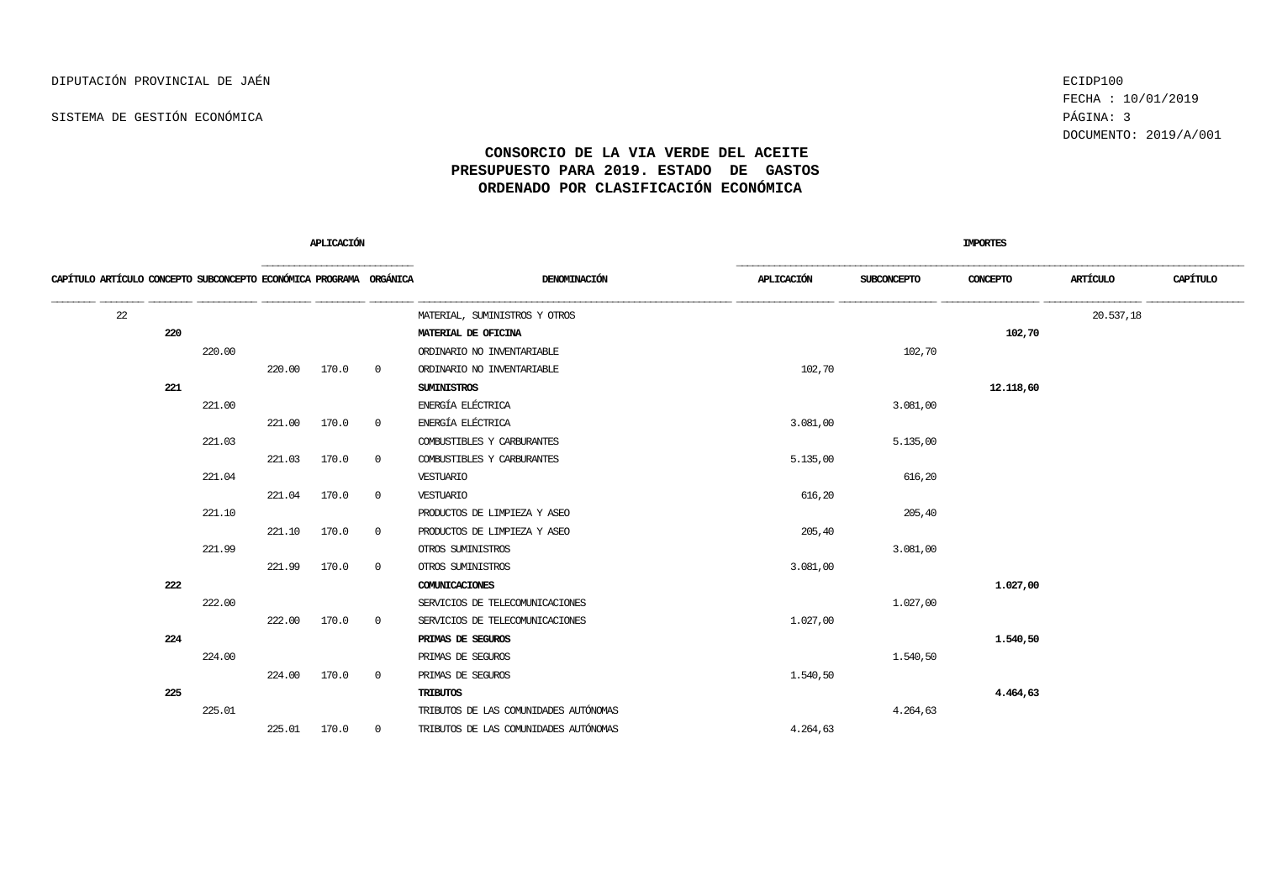FECHA : 10/01/2019 DOCUMENTO: 2019/A/001

|                                                                    |        |        | APLICACIÓN |                |                                       |            |                    | <b>IMPORTES</b> |           |          |
|--------------------------------------------------------------------|--------|--------|------------|----------------|---------------------------------------|------------|--------------------|-----------------|-----------|----------|
| CAPÍTULO ARTÍCULO CONCEPTO SUBCONCEPTO ECONÓMICA PROGRAMA ORGÁNICA |        |        |            |                | DENOMINACIÓN                          | APLICACIÓN | <b>SUBCONCEPTO</b> | CONCEPTO        | ARTÍCULO  | CAPÍTULO |
| 22                                                                 |        |        |            |                | MATERIAL, SUMINISTROS Y OTROS         |            |                    |                 | 20.537,18 |          |
| 220                                                                |        |        |            |                | MATERIAL DE OFICINA                   |            |                    | 102,70          |           |          |
|                                                                    | 220.00 |        |            |                | ORDINARIO NO INVENTARIABLE            |            | 102,70             |                 |           |          |
|                                                                    |        | 220.00 | 170.0      | $\overline{0}$ | ORDINARIO NO INVENTARIABLE            | 102,70     |                    |                 |           |          |
| 221                                                                |        |        |            |                | <b>SUMINISTROS</b>                    |            |                    | 12.118,60       |           |          |
|                                                                    | 221.00 |        |            |                | ENERGÍA ELÉCTRICA                     |            | 3.081,00           |                 |           |          |
|                                                                    |        | 221.00 | 170.0      | $\overline{0}$ | ENERGÍA ELÉCTRICA                     | 3.081,00   |                    |                 |           |          |
|                                                                    | 221.03 |        |            |                | COMBUSTIBLES Y CARBURANTES            |            | 5.135,00           |                 |           |          |
|                                                                    |        | 221.03 | 170.0      | $\overline{0}$ | COMBUSTIBLES Y CARBURANTES            | 5.135,00   |                    |                 |           |          |
|                                                                    | 221.04 |        |            |                | VESTUARIO                             |            | 616,20             |                 |           |          |
|                                                                    |        | 221.04 | 170.0      | $\overline{0}$ | VESTUARIO                             | 616,20     |                    |                 |           |          |
|                                                                    | 221.10 |        |            |                | PRODUCTOS DE LIMPIEZA Y ASEO          |            | 205,40             |                 |           |          |
|                                                                    |        | 221.10 | 170.0      | 0              | PRODUCTOS DE LIMPIEZA Y ASEO          | 205,40     |                    |                 |           |          |
|                                                                    | 221.99 |        |            |                | OTROS SUMINISTROS                     |            | 3.081,00           |                 |           |          |
|                                                                    |        | 221.99 | 170.0      | 0              | OTROS SUMINISTROS                     | 3.081,00   |                    |                 |           |          |
| 222                                                                |        |        |            |                | COMUNICACIONES                        |            |                    | 1,027,00        |           |          |
|                                                                    | 222.00 |        |            |                | SERVICIOS DE TELECOMUNICACIONES       |            | 1.027,00           |                 |           |          |
|                                                                    |        | 222.00 | 170.0      | 0              | SERVICIOS DE TELECOMUNICACIONES       | 1.027,00   |                    |                 |           |          |
| 224                                                                |        |        |            |                | PRIMAS DE SEGUROS                     |            |                    | 1.540,50        |           |          |
|                                                                    | 224.00 |        |            |                | PRIMAS DE SEGUROS                     |            | 1.540,50           |                 |           |          |
|                                                                    |        | 224.00 | 170.0      | 0              | PRIMAS DE SEGUROS                     | 1.540,50   |                    |                 |           |          |
| 225                                                                |        |        |            |                | <b>TRIBUTOS</b>                       |            |                    | 4.464,63        |           |          |
|                                                                    | 225.01 |        |            |                | TRIBUTOS DE LAS COMUNIDADES AUTÓNOMAS |            | 4.264,63           |                 |           |          |
|                                                                    |        | 225.01 | 170.0      | 0              | TRIBUTOS DE LAS COMUNIDADES AUTÓNOMAS | 4.264,63   |                    |                 |           |          |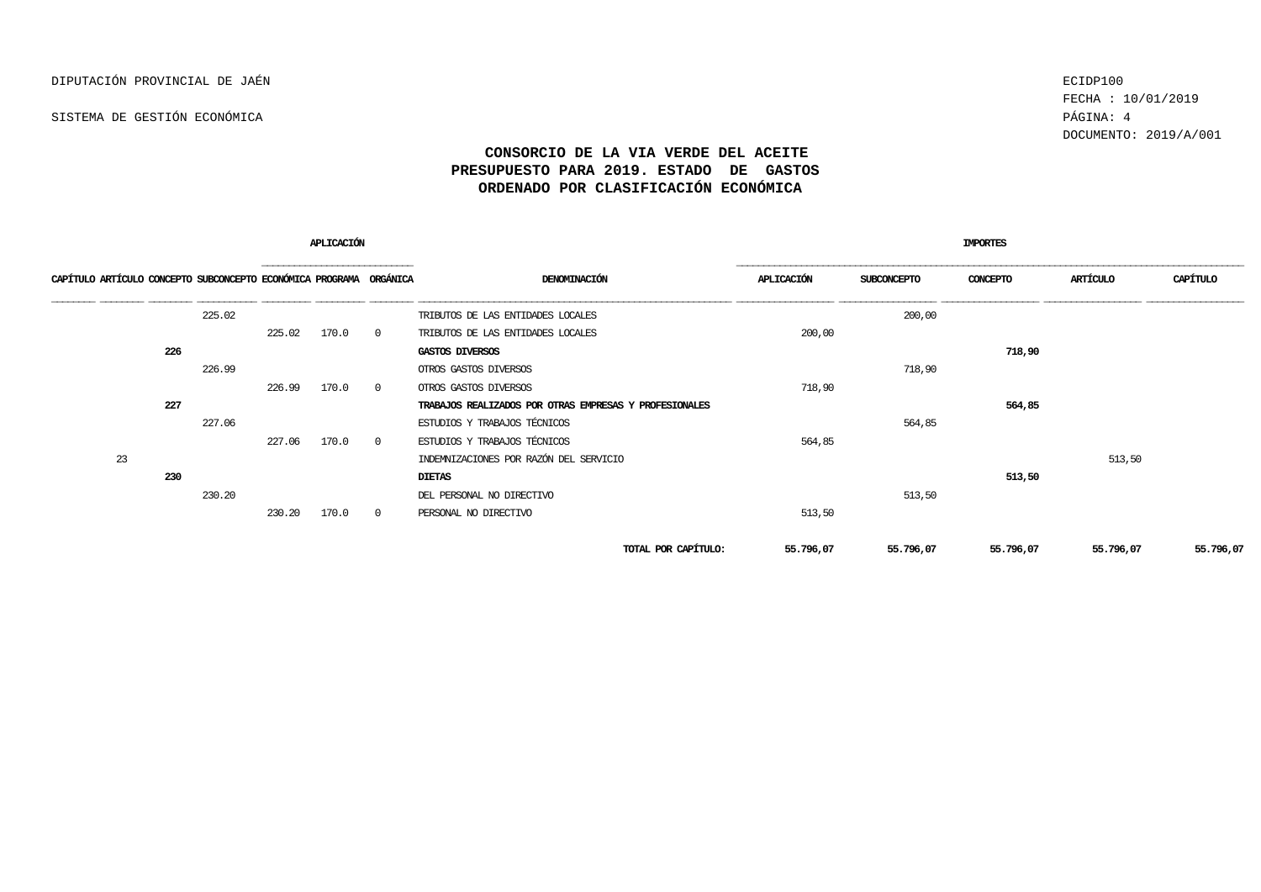FECHA : 10/01/2019 DOCUMENTO: 2019/A/001

|                                                                    |     |        |        | APLICACIÓN |                |                                                        |            | <b>IMPORTES</b> |           |           |           |  |  |
|--------------------------------------------------------------------|-----|--------|--------|------------|----------------|--------------------------------------------------------|------------|-----------------|-----------|-----------|-----------|--|--|
| CAPÍTULO ARTÍCULO CONCEPTO SUBCONCEPTO ECONÓMICA PROGRAMA ORGÁNICA |     |        |        |            |                | DENOMINACIÓN                                           | APLICACIÓN | SUBCONCEPTO     | CONCEPTO  | ARTÍCULO  | CAPÍTULO  |  |  |
|                                                                    |     | 225.02 |        |            |                | TRIBUTOS DE LAS ENTIDADES LOCALES                      |            | 200,00          |           |           |           |  |  |
|                                                                    |     |        | 225.02 | 170.0      | $\overline{0}$ | TRIBUTOS DE LAS ENTIDADES LOCALES                      | 200,00     |                 |           |           |           |  |  |
|                                                                    | 226 |        |        |            |                | GASTOS DIVERSOS                                        |            |                 | 718,90    |           |           |  |  |
|                                                                    |     | 226.99 |        |            |                | OTROS GASTOS DIVERSOS                                  |            | 718,90          |           |           |           |  |  |
|                                                                    |     |        | 226.99 | 170.0      | $\overline{0}$ | OTROS GASTOS DIVERSOS                                  | 718,90     |                 |           |           |           |  |  |
|                                                                    | 227 |        |        |            |                | TRABAJOS REALIZADOS POR OTRAS EMPRESAS Y PROFESIONALES |            |                 | 564,85    |           |           |  |  |
|                                                                    |     | 227.06 |        |            |                | ESTUDIOS Y TRABAJOS TÉCNICOS                           |            | 564,85          |           |           |           |  |  |
|                                                                    |     |        | 227.06 | 170.0      | $\overline{0}$ | ESTUDIOS Y TRABAJOS TÉCNICOS                           | 564,85     |                 |           |           |           |  |  |
| 23                                                                 |     |        |        |            |                | INDEMNIZACIONES POR RAZÓN DEL SERVICIO                 |            |                 |           | 513,50    |           |  |  |
|                                                                    | 230 |        |        |            |                | <b>DIETAS</b>                                          |            |                 | 513,50    |           |           |  |  |
|                                                                    |     | 230.20 |        |            |                | DEL PERSONAL NO DIRECTIVO                              |            | 513,50          |           |           |           |  |  |
|                                                                    |     |        | 230.20 | 170.0      | $\overline{0}$ | PERSONAL NO DIRECTIVO                                  | 513,50     |                 |           |           |           |  |  |
|                                                                    |     |        |        |            |                | TOTAL POR CAPÍTULO:                                    | 55.796,07  | 55.796,07       | 55.796,07 | 55.796,07 | 55.796,07 |  |  |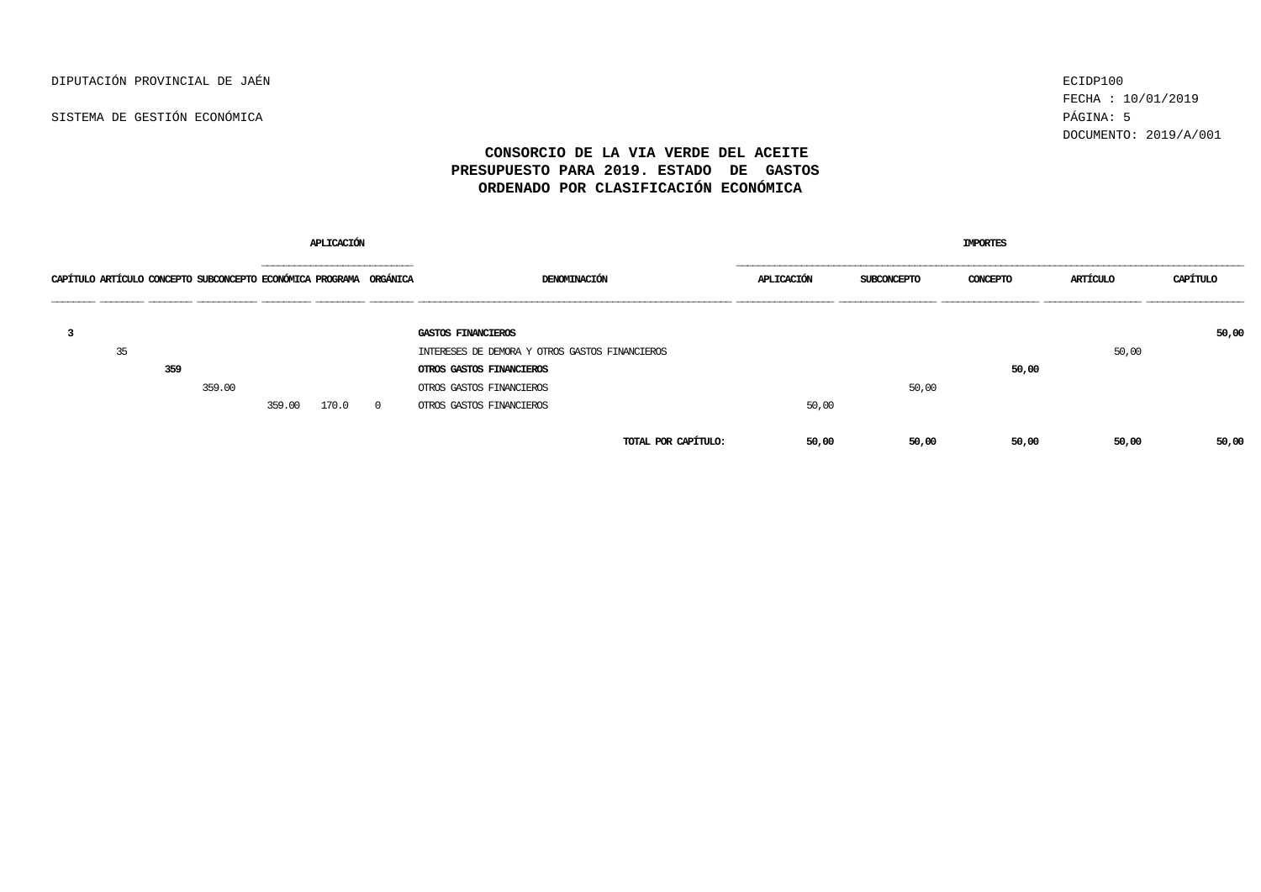DIPUTACIÓN PROVINCIAL DE JAÉN ECIDP100

SISTEMA DE GESTIÓN ECONÓMICA PÁGINA: 5

FECHA : 10/01/2019 DOCUMENTO: 2019/A/001

| <b>APLICACIÓN</b>                                                  |     |        |           |       |                |                                                |       | IMPORTES    |          |          |                   |  |  |  |
|--------------------------------------------------------------------|-----|--------|-----------|-------|----------------|------------------------------------------------|-------|-------------|----------|----------|-------------------|--|--|--|
| CAPÍTULO ARTÍCULO CONCEPTO SUBCONCEPTO ECONÓMICA PROGRAMA ORGÁNICA |     |        | --------- |       |                | DENOMINACIÓN                                   |       | SUBCONCEPTO | CONCEPTO | ARTÍCULO | _________________ |  |  |  |
|                                                                    |     |        |           |       |                | GASTOS FINANCIEROS                             |       |             |          |          | 50,00             |  |  |  |
| 35                                                                 |     |        |           |       |                | INTERESES DE DEMORA Y OTROS GASTOS FINANCIEROS |       |             |          | 50,00    |                   |  |  |  |
|                                                                    | 359 |        |           |       |                | OTROS GASTOS FINANCIEROS                       |       |             | 50,00    |          |                   |  |  |  |
|                                                                    |     | 359.00 |           |       |                | OTROS GASTOS FINANCIEROS                       |       | 50,00       |          |          |                   |  |  |  |
|                                                                    |     |        | 359.00    | 170.0 | $\overline{0}$ | OTROS GASTOS FINANCIEROS                       | 50,00 |             |          |          |                   |  |  |  |
|                                                                    |     |        |           |       |                | TOTAL POR CAPÍTULO:                            | 50,00 | 50,00       | 50,00    | 50,00    | 50,00             |  |  |  |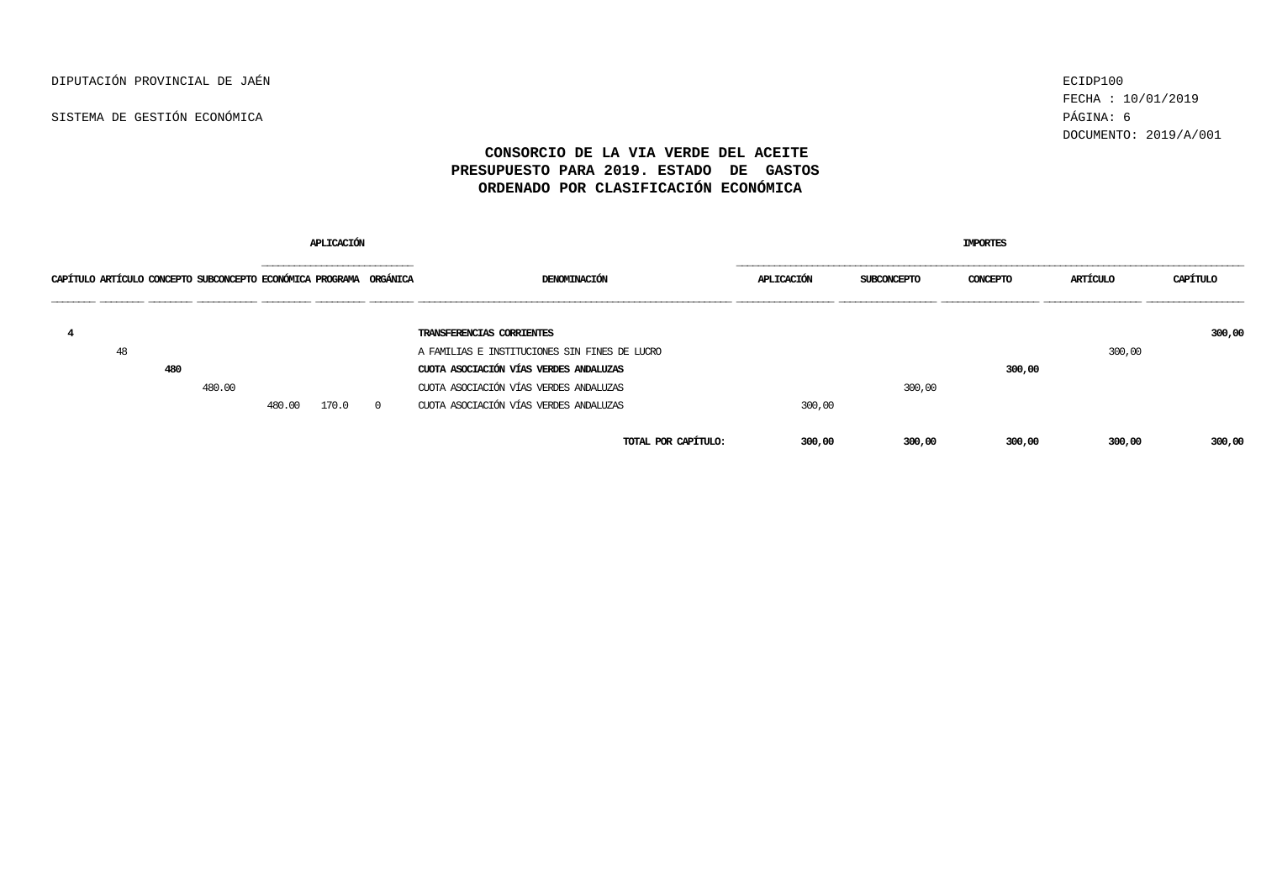FECHA : 10/01/2019 DOCUMENTO: 2019/A/001

|                                                                    |     |        |        | APLICACION |          |                                               | <b>IMPORTES</b>   |                    |          |          |        |  |  |
|--------------------------------------------------------------------|-----|--------|--------|------------|----------|-----------------------------------------------|-------------------|--------------------|----------|----------|--------|--|--|
| CAPÍTULO ARTÍCULO CONCEPTO SUBCONCEPTO ECONÓMICA PROGRAMA ORGÁNICA |     |        |        |            |          | DENOMINACIÓN                                  | <b>APLICACION</b> | <b>SUBCONCEPTO</b> | CONCEPTO | ARTÍCULO |        |  |  |
|                                                                    |     |        |        |            |          | TRANSFERENCIAS CORRIENTES                     |                   |                    |          |          | 300,00 |  |  |
| 48                                                                 |     |        |        |            |          | A FAMILIAS E INSTITUCIONES SIN FINES DE LUCRO |                   |                    |          | 300,00   |        |  |  |
|                                                                    | 480 |        |        |            |          | CUOTA ASOCIACIÓN VÍAS VERDES ANDALUZAS        |                   |                    | 300,00   |          |        |  |  |
|                                                                    |     | 480.00 |        |            |          | CUOTA ASOCIACIÓN VÍAS VERDES ANDALUZAS        |                   | 300,00             |          |          |        |  |  |
|                                                                    |     |        | 480.00 | 170.0      | $\Omega$ | CUOTA ASOCIACIÓN VÍAS VERDES ANDALUZAS        | 300,00            |                    |          |          |        |  |  |
|                                                                    |     |        |        |            |          | TOTAL POR CAPÍTULO:                           | 300,00            | 300,00             | 300,00   | 300,00   | 300,00 |  |  |